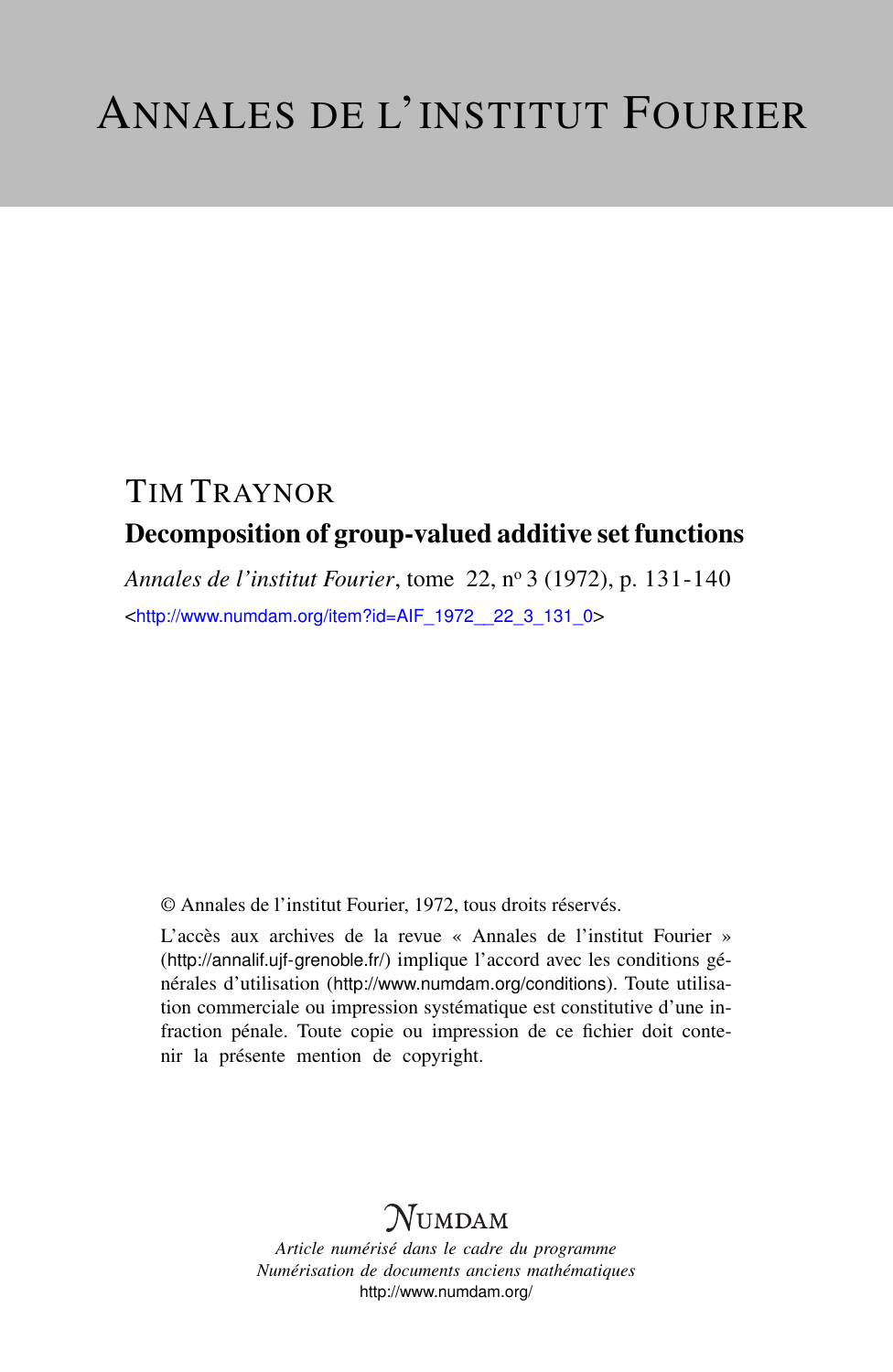# TIM TRAYNOR Decomposition of group-valued additive set functions

*Annales de l'institut Fourier*, tome 22, n<sup>o</sup> 3 (1972), p. 131-140 <[http://www.numdam.org/item?id=AIF\\_1972\\_\\_22\\_3\\_131\\_0](http://www.numdam.org/item?id=AIF_1972__22_3_131_0)>

© Annales de l'institut Fourier, 1972, tous droits réservés.

L'accès aux archives de la revue « Annales de l'institut Fourier » (<http://annalif.ujf-grenoble.fr/>) implique l'accord avec les conditions générales d'utilisation (<http://www.numdam.org/conditions>). Toute utilisation commerciale ou impression systématique est constitutive d'une infraction pénale. Toute copie ou impression de ce fichier doit contenir la présente mention de copyright.

# NUMDAM

*Article numérisé dans le cadre du programme Numérisation de documents anciens mathématiques* <http://www.numdam.org/>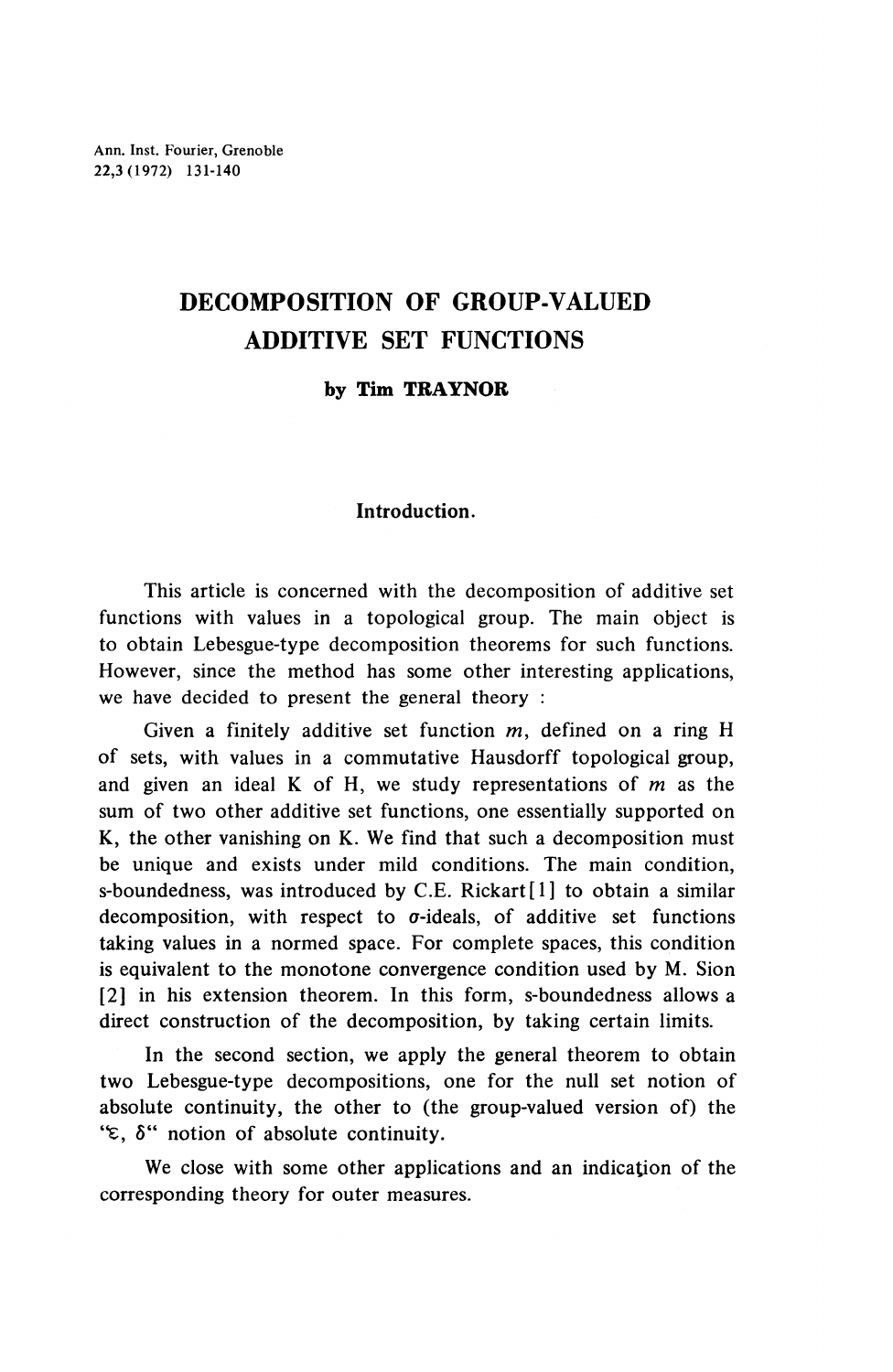## **DECOMPOSITION OF GROUP-VALUED ADDITIVE SET FUNCTIONS**

### **by Tim TRAYNOR**

### **Introduction.**

This article is concerned with the decomposition of additive set functions with values in a topological group. The main object is to obtain Lebesgue-type decomposition theorems for such functions. However, since the method has some other interesting applications, we have decided to present the general theory :

Given a finitely additive set function  $m$ , defined on a ring H of sets, with values in a commutative Hausdorff topological group, and given an ideal K of H, we study representations of *m* as the sum of two other additive set functions, one essentially supported on K, the other vanishing on K. We find that such a decomposition must be unique and exists under mild conditions. The main condition, s-boundedness, was introduced by C.E. Rickart<sup>[1]</sup> to obtain a similar decomposition, with respect to  $\sigma$ -ideals, of additive set functions taking values in a normed space. For complete spaces, this condition is equivalent to the monotone convergence condition used by M. Sion [2] in his extension theorem. In this form, s-boundedness allows a direct construction of the decomposition, by taking certain limits.

In the second section, we apply the general theorem to obtain two Lebesgue-type decompositions, one for the null set notion of absolute continuity, the other to (the group-valued version of) the *'*ε, δ<sup>"</sup> notion of absolute continuity.

We close with some other applications and an indication of the corresponding theory for outer measures.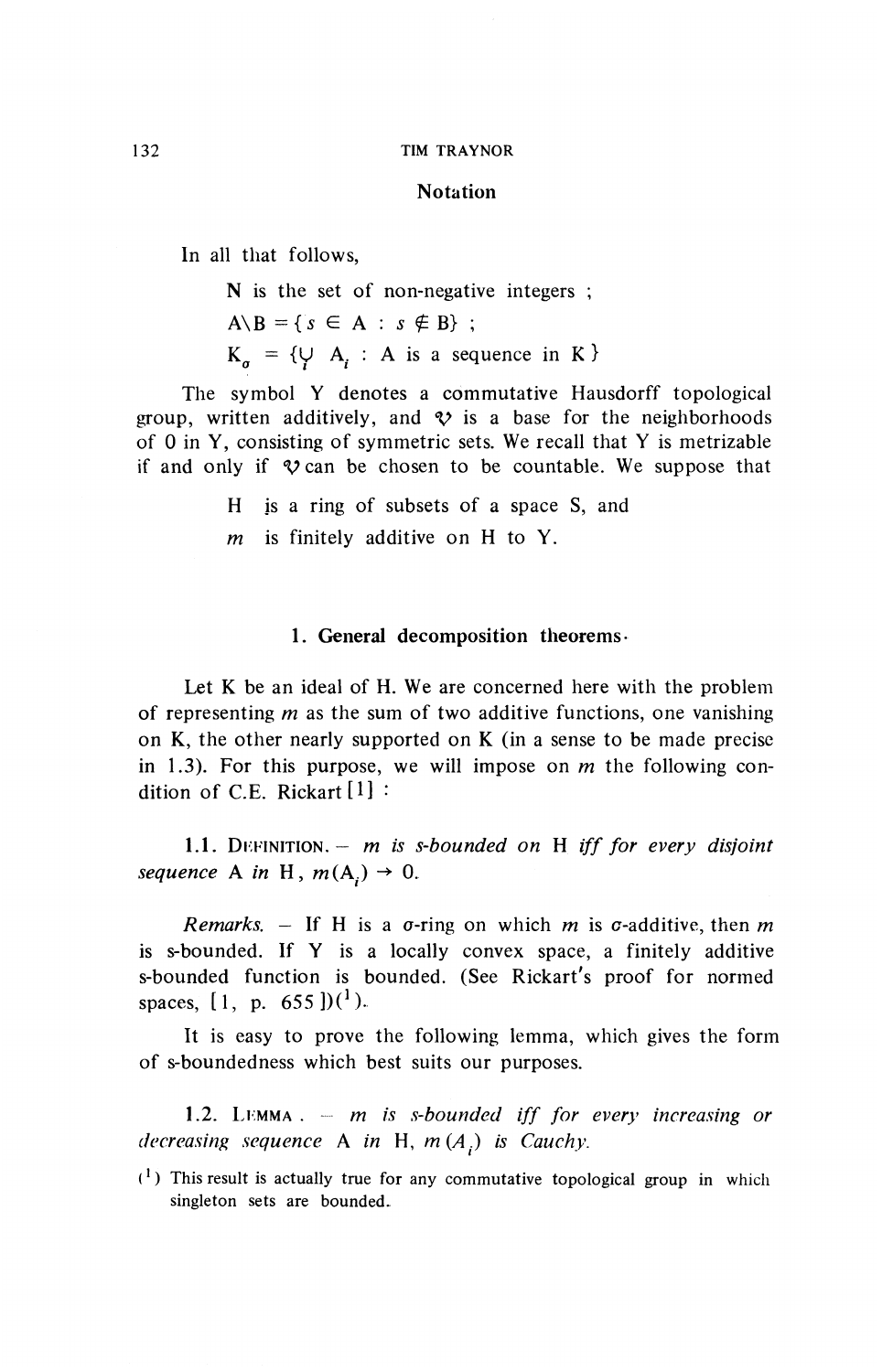#### **Notation**

In all that follows,

N is the set of non-negative integers ;

 $A \ B = \{ s \in A : s \notin B \}$ ;

 $K_{\alpha}$  = { $\cup$  A<sub>r</sub> : A is a sequence in K }

The symbol Y denotes a commutative Hausdorff topological group, written additively, and  $\mathcal V$  is a base for the neighborhoods of 0 in **Y,** consisting of symmetric sets. We recall that Y is metrizable if and only if  $\mathcal V$  can be chosen to be countable. We suppose that

H is a ring of subsets of a space S, and

*m* is finitely additive on H to Y.

#### 1. General decomposition theorems-

Let K be an ideal of H. We are concerned here with the problem of representing *m* as the sum of two additive functions, one vanishing on  $K$ , the other nearly supported on  $K$  (in a sense to be made precise in 1.3). For this purpose, we will impose on *m* the following condition of C.E. Rickart[l] *''*

**1.1.** DEFINITION.- *m is s-bounded on* H *iff for every disjoint sequence* A *in* H,  $m(A_i) \rightarrow 0$ .

*Remarks.* – If H is a  $\sigma$ -ring on which *m* is  $\sigma$ -additive, then *m* is s-bounded. If Y is a locally convex space, a finitely additive s-bounded function is bounded. (See Rickart's proof for normed spaces, [1, p.  $655$ ])(<sup>1</sup>)

It is easy to prove the following lemma, which gives the form of s-boundedness which best suits our purposes.

**1.2.** LI:MMA . *m is s-bounded iff for every increasing or decreasing sequence* A *in* H, *m (A.) is Cauchy.*

 $(1)$  This result is actually true for any commutative topological group in which singleton sets are bounded..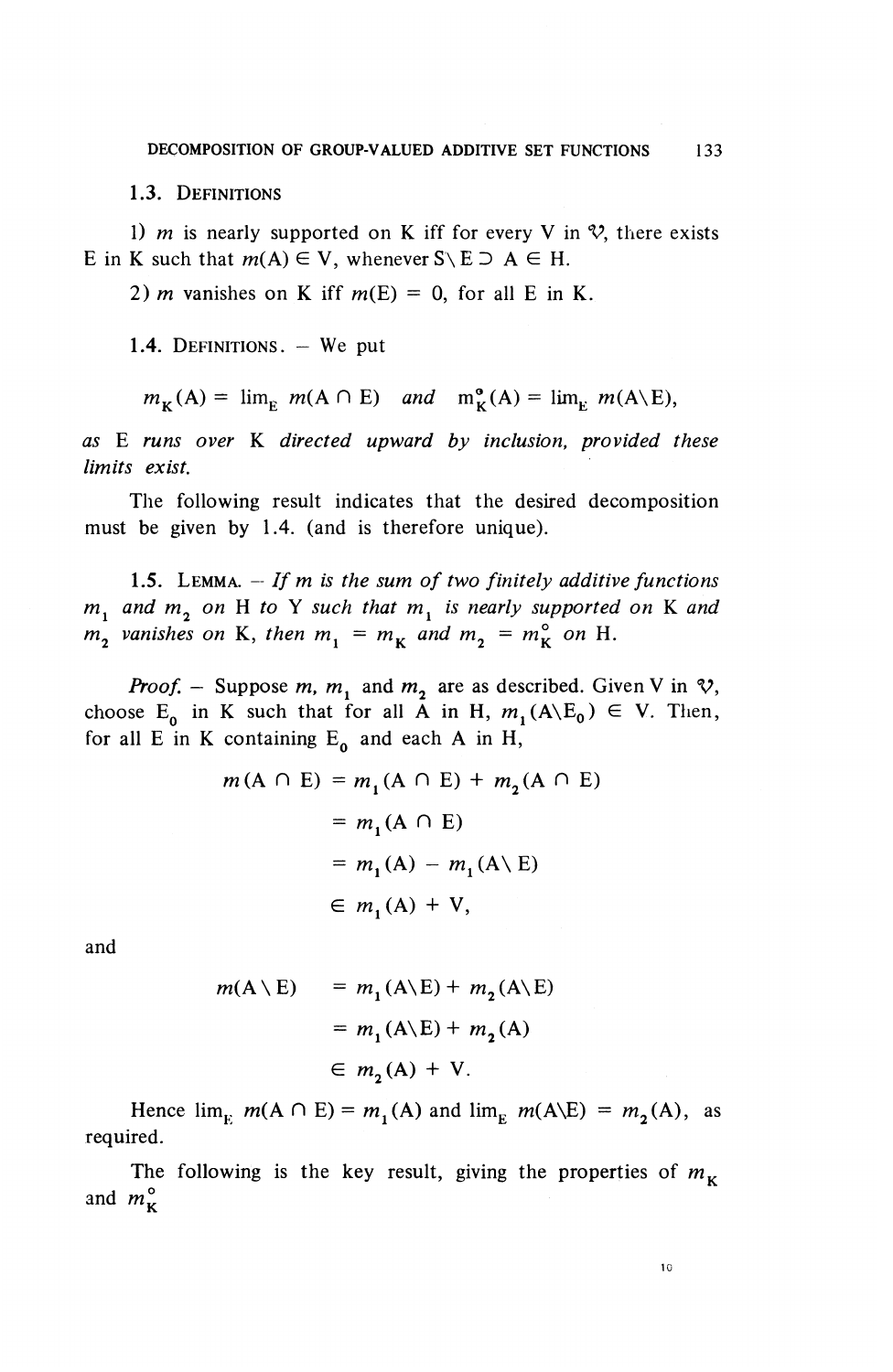**1.3.** DEFINITIONS

1) *m* is nearly supported on K iff for every V in  $\mathcal{V}$ , there exists E in K such that  $m(A) \in V$ , whenever  $S \setminus E \supseteq A \in H$ .

2) *m* vanishes on K iff  $m(E) = 0$ , for all E in K.

1.4. DEFINITIONS. - We put

 $m_{\kappa}(A) = \lim_{\kappa} m(A \cap E)$  and  $m_{\kappa}^{\circ}(A) = \lim_{\kappa} m(A\backslash E)$ ,

*as* E *runs over* K *directed upward by inclusion, provided these limits exist.*

The following result indicates that the desired decomposition must be given by 1.4. (and is therefore unique).

1.5. LEMMA. – If m is the sum of two finitely additive functions *m^ and m^ on* H *to* Y *such that m^ is nearly supported on* K *and*  $m^2$  vanishes on K, then  $m^2 = m^2$  and  $m^2 = m^2$  on H.

*Proof.* – Suppose m, m<sub>1</sub> and m<sub>2</sub> are as described. Given V in  $\mathcal{V}$ , choose E<sub>0</sub> in K such that for all A in H,  $m_1(A\backslash E_0) \in V$ . Then, for all E in K containing  $E_0$  and each A in H,

$$
m(A \cap E) = m_1(A \cap E) + m_2(A \cap E)
$$
  
=  $m_1(A \cap E)$   
=  $m_1(A) - m_1(A \setminus E)$   
 $\in m_1(A) + V$ ,

and

$$
m(A \setminus E) = m_1(A \setminus E) + m_2(A \setminus E)
$$
  
=  $m_1(A \setminus E) + m_2(A)$   
 $\in m_2(A) + V.$ 

Hence  $\lim_{k \to \infty} m(A \cap E) = m^{\prime}(A)$  and  $\lim_{k \to \infty} m(A\backslash E) = m^{\prime}(A)$ , as required.

The following is the key result, giving the properties of  $m<sub>\kappa</sub>$ and  $m_{\kappa}^{\circ}$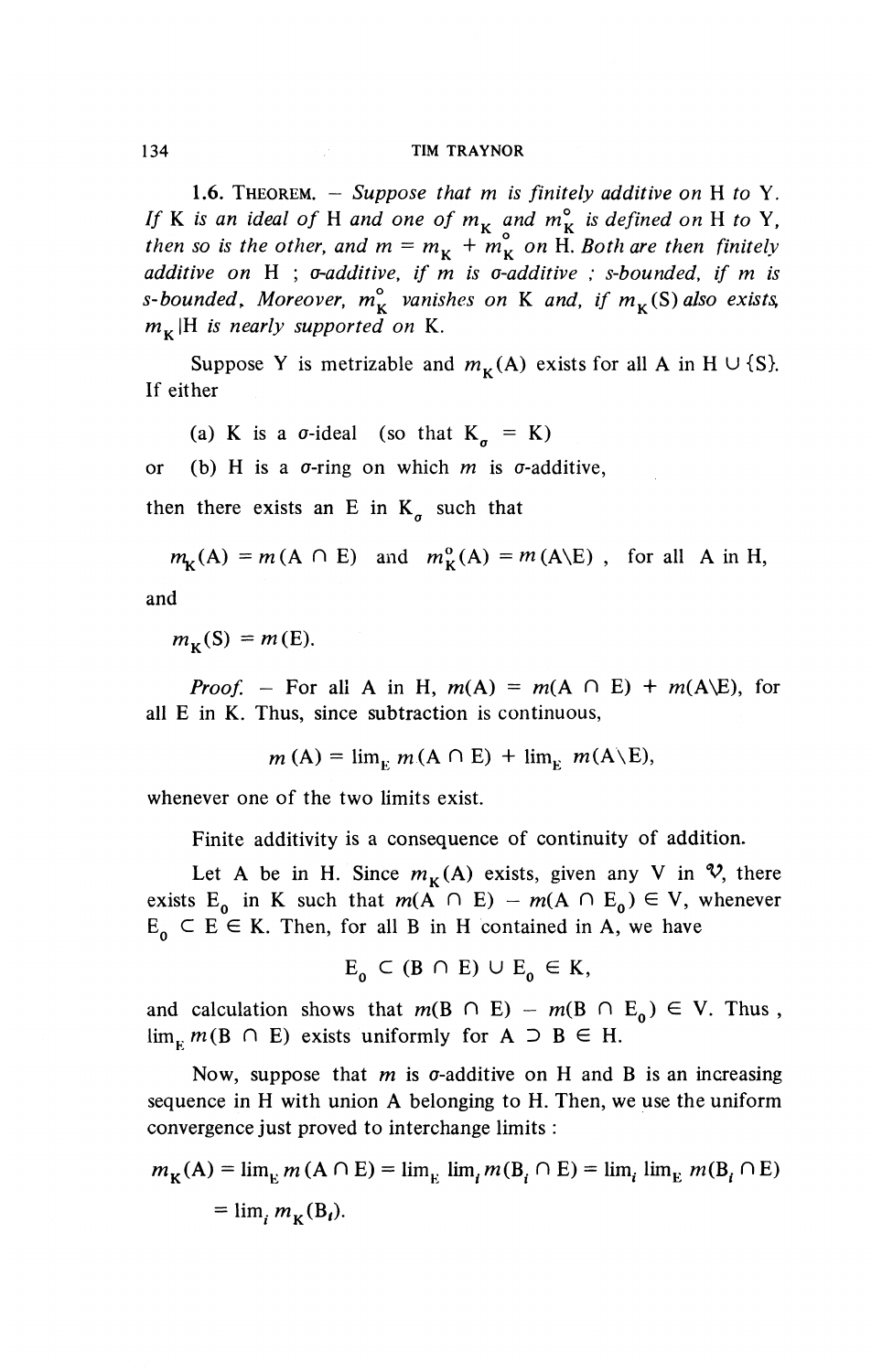**1.6.** THEOREM. - *Suppose that m is finitely additive on* H *to* Y. If K is an ideal of H and one of  $m_k$  and  $m_k^{\circ}$  is defined on H to Y, *then so is the other, and m* =  $m_k$  +  $m_k^{\circ}$  on H. Both are then finitely *additive on* H ; *a'additive, if m is a-additive : s-bounded, if m is s-bounded, Moreover,*  $m_{\kappa}^{\circ}$  *vanishes on* K *and, if*  $m_{\kappa}(S)$  *also exists,*  $m_{\kappa}$ |H is nearly supported on K.

Suppose Y is metrizable and  $m_{\nu}(A)$  exists for all A in H  $\cup$  {S}. If either

(a) K is a  $\sigma$ -ideal (so that  $K_{\sigma} = K$ )

or (b) H is a  $\sigma$ -ring on which  $m$  is  $\sigma$ -additive,

then there exists an E in  $K_a$  such that

 $m_{\mathbf{k}}(A) = m(A \cap E)$  and  $m_{\mathbf{k}}^{0}(A) = m(A\backslash E)$ , for all A in H,

and

 $m_{\nu}(S) = m(E).$ 

*Proof.* - For all A in H,  $m(A) = m(A \cap E) + m(A \setminus E)$ , for all E in K. Thus, since subtraction is continuous,

$$
m(A) = \lim_{v} m(A \cap E) + \lim_{v} m(A \backslash E),
$$

whenever one of the two limits exist.

Finite additivity is a consequence of continuity of addition.

Let A be in H. Since  $m<sub>K</sub>(A)$  exists, given any V in  $\mathcal{V}$ , there exists  $E_0$  in K such that  $m(A \cap E) - m(A \cap E_0) \in V$ , whenever  $E_0 \subset E \in K$ . Then, for all B in H contained in A, we have

$$
E_{0} \subset (B \cap E) \cup E_{0} \in K,
$$

and calculation shows that  $m(B \cap E) - m(B \cap E_0) \in V$ . Thus,  $\lim_{k} m(B \cap E)$  exists uniformly for  $A \supset B \in H$ .

Now, suppose that  $m$  is  $\sigma$ -additive on H and B is an increasing sequence in H with union A belonging to H. Then, we use the uniform convergence just proved to interchange limits :

$$
m_{\mathbf{K}}(\mathbf{A}) = \lim_{\mathbf{E}} m(\mathbf{A} \cap \mathbf{E}) = \lim_{\mathbf{E}} \lim_{i} m(\mathbf{B}_{i} \cap \mathbf{E}) = \lim_{i} \lim_{\mathbf{E}} m(\mathbf{B}_{i} \cap \mathbf{E})
$$
  
=  $\lim_{i} m_{\mathbf{K}}(\mathbf{B}_{i}).$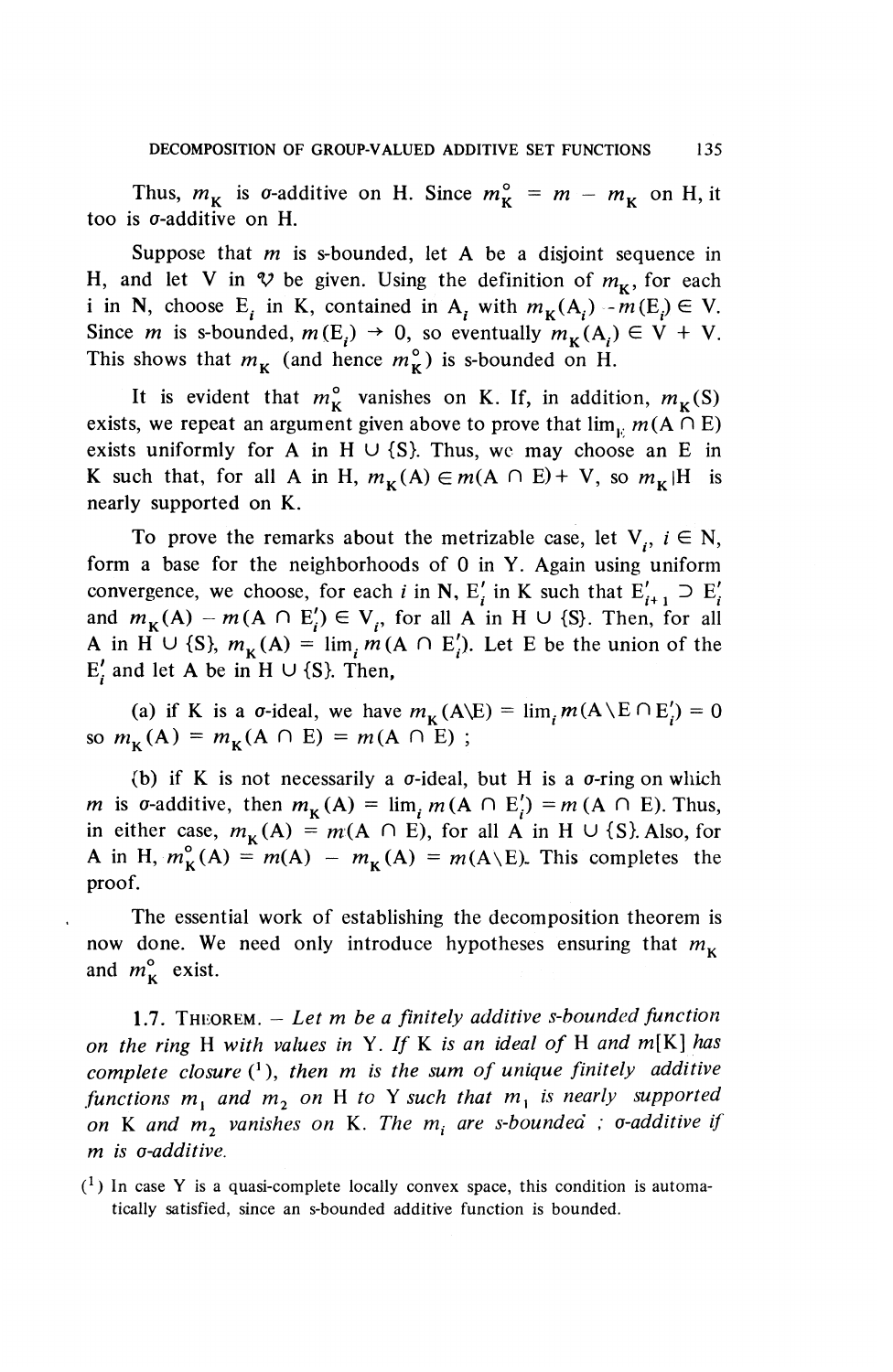Thus,  $m_{\mathbf{k}}$  is *o*-additive on H. Since  $m_{\mathbf{k}}^{\circ} = m - m_{\mathbf{k}}$  on H, it too is  $\sigma$ -additive on H.

Suppose that *m* is s-bounded, let A be a disjoint sequence in H, and let V in  $\mathcal V$  be given. Using the definition of  $m_{\kappa}$ , for each i in N, choose E<sub>i</sub> in K, contained in A<sub>i</sub> with  $m_K(A_i) - m(E_i) \in V$ . Since *m* is s-bounded,  $m(E_i) \rightarrow 0$ , so eventually  $m_K(A_i) \in V + V$ . This shows that  $m<sub>K</sub>$  (and hence  $m<sub>K</sub>^{\circ}$ ) is s-bounded on H.

It is evident that  $m_{\kappa}^{\circ}$  vanishes on K. If, in addition,  $m_{\kappa}(S)$ exists, we repeat an argument given above to prove that  $\lim_{u \to 0} m(A \cap E)$ exists uniformly for A in H  $\cup$  {S}. Thus, we may choose an E in K such that, for all A in H,  $m_{\kappa}(A) \in m(A \cap E) + V$ , so  $m_{\kappa}/H$  is nearly supported on K.

To prove the remarks about the metrizable case, let  $V_i$ ,  $i \in N$ , form a base for the neighborhoods of 0 in Y. Again using uniform convergence, we choose, for each *i* in N, E<sup>'</sup><sub>*i*</sub> in K such that  $E'_{i+1} \supset E'_{i}$ and  $m_{\kappa}(A) - m(A \cap E'_i) \in V_i$ , for all A in H  $\cup$  {S}. Then, for all A in H  $\cup$  {S},  $m_{\kappa}(A) = \lim_{n \to \infty} m(A \cap E^{\prime}_{n})$ . Let E be the union of the  $E'$ , and let A be in H  $\cup$  {S}. Then,

(a) if K is a  $\sigma$ -ideal, we have  $m_K(A\ E) = \lim_i m(A\ E \cap E'_i) = 0$ so  $m_{\kappa}(A) = m_{\kappa}(A \cap E) = m(A \cap E)$ ;

(b) if K is not necessarily a  $\sigma$ -ideal, but H is a  $\sigma$ -ring on which *m* is *o*-additive, then  $m_{\kappa}(A) = \lim_{m \to \infty} m(A \cap E^{\prime}) = m(A \cap E)$ . Thus, in either case,  $m_{\kappa}(A) = m(A \cap E)$ , for all A in H U {S}. Also, for A in H,  $m_K^{\circ}(A) = m(A) - m_K(A) = m(A\backslash E)$ . This completes the proof.

The essential work of establishing the decomposition theorem is now done. We need only introduce hypotheses ensuring that  $m<sub>K</sub>$ and  $m_{\kappa}^{\circ}$  exist.

**1.7.** THEOREM. - *Let m be a finitely additive s-bounded function on the ring* H *with values in* Y. // K *is an ideal of* H *and* m[K] *has complete closure* (<sup>1</sup> ), *then m is the sum of unique finitely additive functions m^ and m^ on* H *to* Y *such that* m, *is nearly supported on* K and  $m_2$  vanishes on K. The  $m_i$  are s-bounded ; o-additive if *m is o-additive.*

 $(1)$  In case Y is a quasi-complete locally convex space, this condition is automatically satisfied, since an s-bounded additive function is bounded.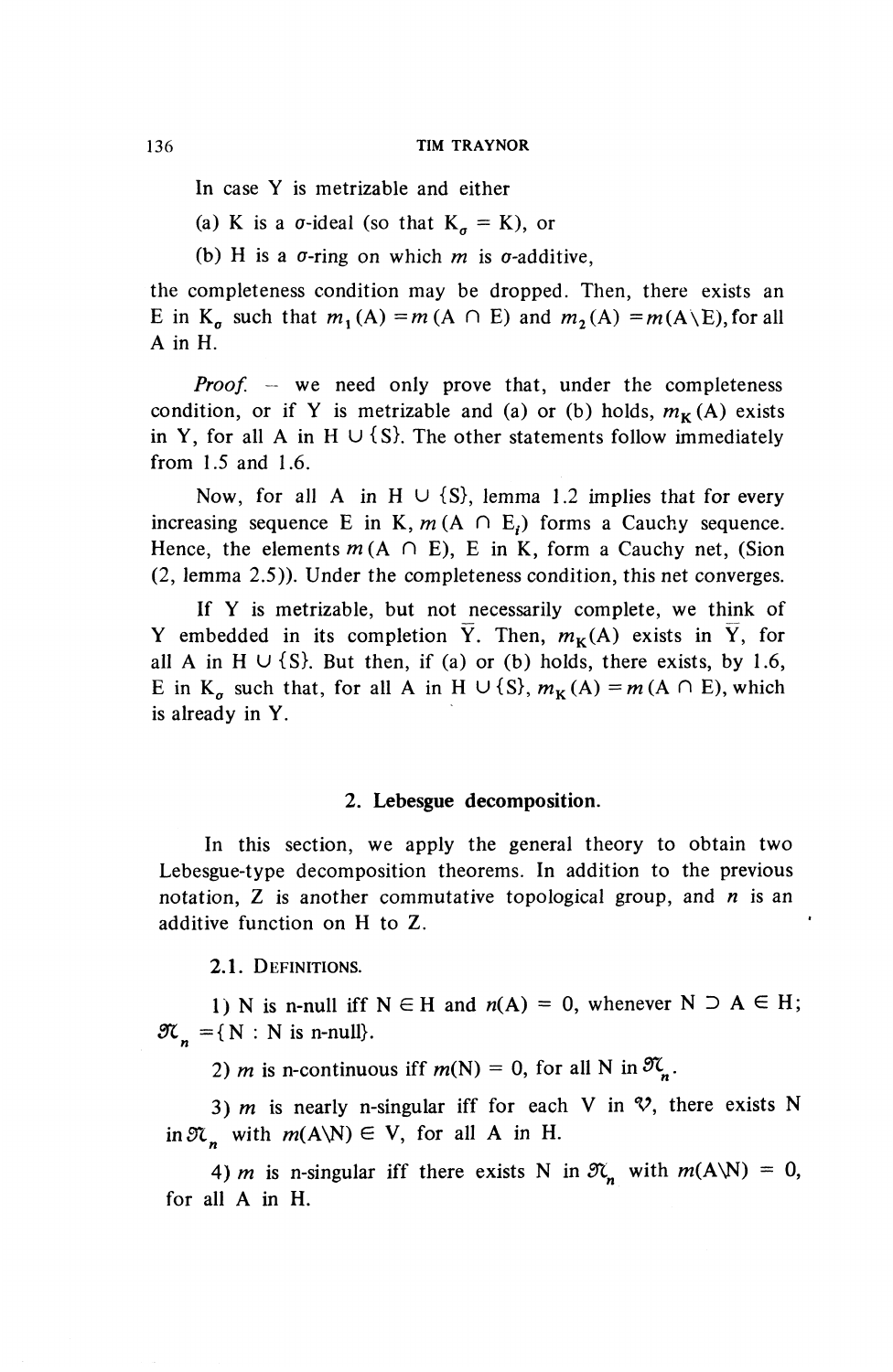In case Y is metrizable and either

(a) K is a  $\sigma$ -ideal (so that  $K_{\sigma} = K$ ), or

(b) H is a  $\sigma$ -ring on which *m* is  $\sigma$ -additive.

the completeness condition may be dropped. Then, there exists an E in K<sub>o</sub> such that  $m_1(A) = m(A \cap E)$  and  $m_2(A) = m(A\backslash E)$ , for all A in H.

*Proof.* – we need only prove that, under the completeness condition, or if Y is metrizable and (a) or (b) holds,  $m_K(A)$  exists in Y, for all A in H  $\cup$  {S}. The other statements follow immediately from 1.5 and 1.6.

Now, for all A in H  $\cup$  {S}, lemma 1.2 implies that for every increasing sequence E in K,  $m(A \cap E_i)$  forms a Cauchy sequence. Hence, the elements  $m(A \cap E)$ , E in K, form a Cauchy net, (Sion (2, lemma 2.5)). Under the completeness condition, this net converges.

If Y is metrizable, but not necessarily complete, we think of Y embedded in its completion  $\overline{Y}$ . Then,  $m_{\kappa}(A)$  exists in  $\overline{Y}$ , for all A in H  $\cup$  {S}. But then, if (a) or (b) holds, there exists, by 1.6, E in K<sub>n</sub> such that, for all A in H  $\cup$  {S},  $m_K(A) = m(A \cap E)$ , which is already in Y.

#### **2. Lebesgue decomposition.**

In this section, we apply the general theory to obtain two Lebesgue-type decomposition theorems. In addition to the previous notation, Z is another commutative topological group, and *n* is an additive function on H to Z.

**2.1.** DEFINITIONS.

1) N is n-null iff  $N \in H$  and  $n(A) = 0$ , whenever  $N \supset A \in H$ ;  $\mathfrak{K}_n = \{ N : N \text{ is n-null} \}.$ 

2) *m* is n-continuous iff  $m(N) = 0$ , for all N in  $\mathfrak{K}_{\mathfrak{m}}$ .

3) m is nearly n-singular iff for each V in  $\mathcal{V}$ , there exists N in  $\mathfrak{N}_n$  with  $m(A\setminus N) \in V$ , for all A in H.

4) *m* is n-singular iff there exists N in  $\mathfrak{N}_n$  with  $m(A\ N) = 0$ , for all A in H.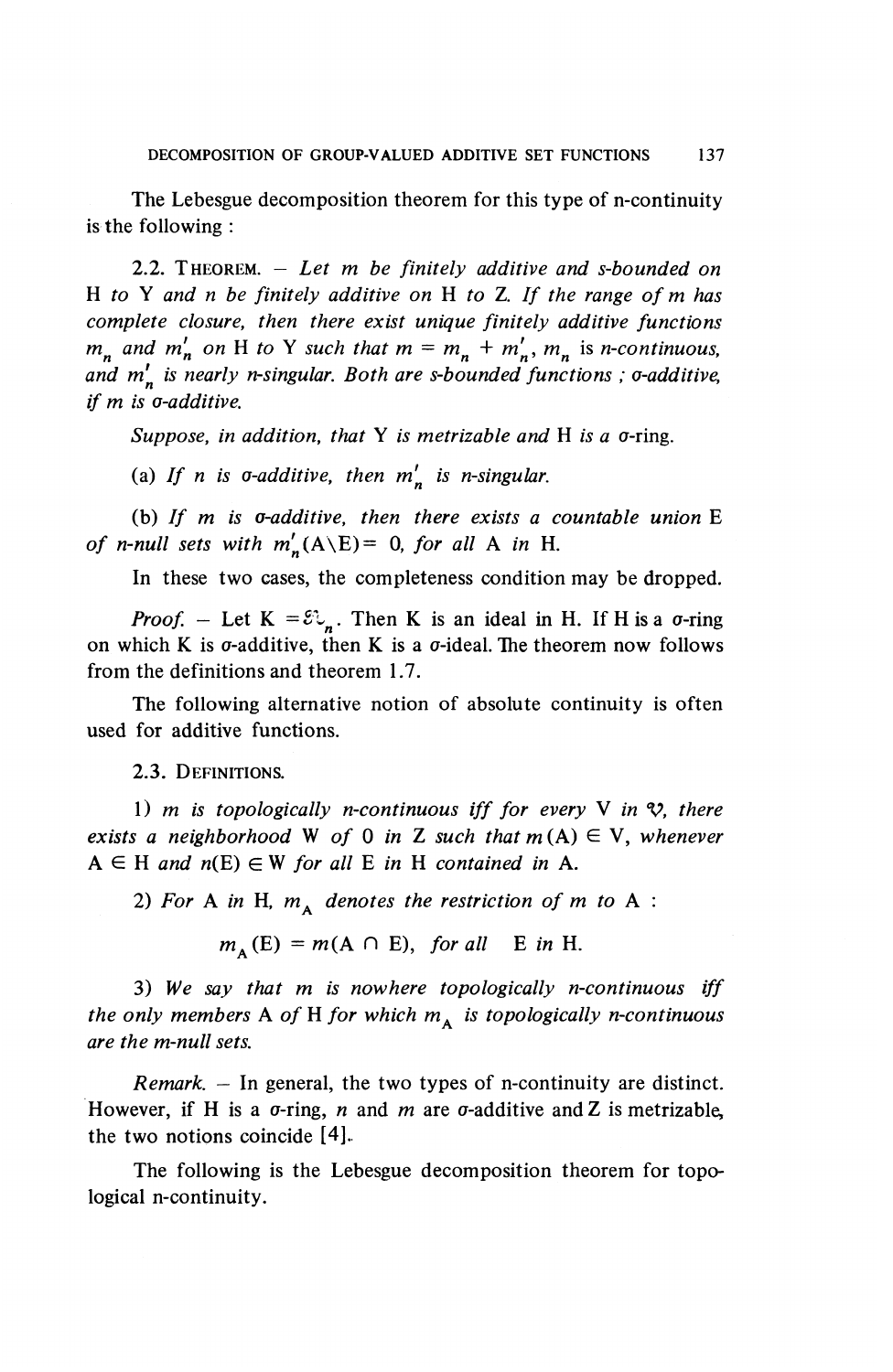The Lebesgue decomposition theorem for this type of n-continuity is the following :

2.2. THEOREM. - *Let m be finitely additive and s-bounded on* <sup>H</sup> *to* Y *and n be finitely additive on* H *to* Z. // *the range ofm has complete closure, then there exist unique finitely additive functions*  $m_n$  and  $m'_n$  on H to Y such that  $m = m_n + m'_n$ ,  $m_n$  is *n-continuous*, and m'<sub>n</sub> is nearly n-singular. Both are s-bounded functions ; *o-additive*, *if m is o-additive.*

*Suppose, in addition, that* Y *is metrizable and* H *is a o-ring.* 

(a) If *n* is  $\sigma$ -additive, then  $m'_n$  is n-singular.

(b) If *m* is *o-additive*, then there exists a countable union E *of n-null sets with*  $m'_{n}(A\ E) = 0$ *, for all* A *in* H.

In these two cases, the completeness condition may be dropped.

*Proof.* – Let  $K = \mathcal{E} \mathcal{L}$ . Then K is an ideal in H. If H is a  $\sigma$ -ring on which K is  $\sigma$ -additive, then K is a  $\sigma$ -ideal. The theorem now follows from the definitions and theorem 1.7.

The following alternative notion of absolute continuity is often used for additive functions.

2.3. DEFINITIONS.

1) *m* is topologically *n*-continuous iff for every V in  $\mathcal{V}$ , there *exists a neighborhood* W of 0 in Z such that  $m(A) \in V$ , whenever  $A \in H$  and  $n(E) \in W$  for all E in H contained in A.

2) For A in H,  $m_A$  denotes the restriction of m to A :

 $m_A(E) = m(A \cap E)$ , for all E in H.

3) *We say that m is nowhere topologically n-continuous iff the only members* A *of* H for which  $m<sub>A</sub>$  *is topologically n-continuous are the m-null sets.*

*Remark. —* In general, the two types of n-continuity are distinct. However, if H is a  $\sigma$ -ring, n and m are  $\sigma$ -additive and Z is metrizable, the two notions coincide [4].

The following is the Lebesgue decomposition theorem for topological n-continuity.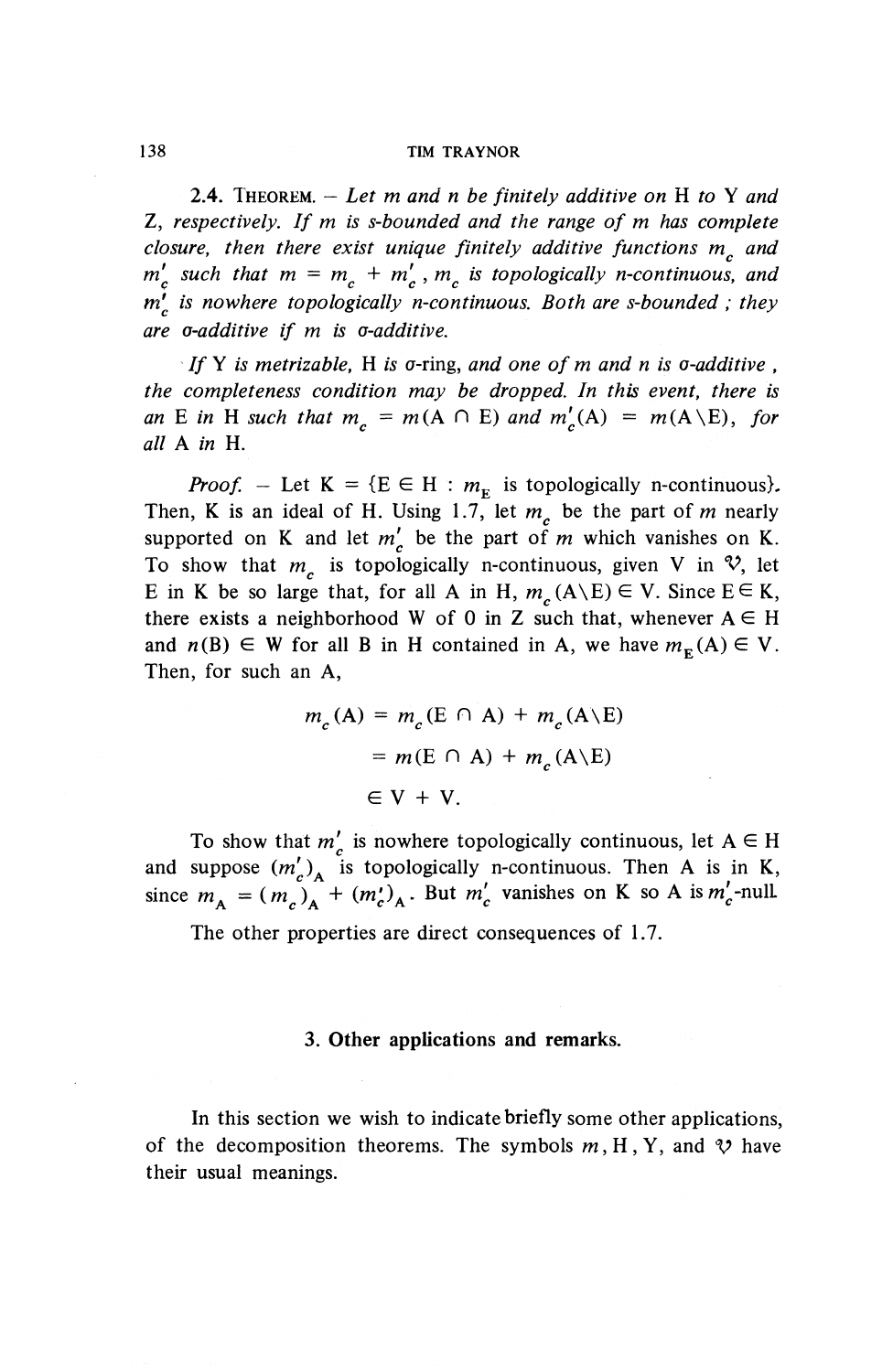**2.4.** THEOREM. — *Let m and n be finitely additive on* H *to* Y *and* **Z,** *respectively. If m is s-bounded and the range of m has complete closure, then there exist unique finitely additive functions m^ and*  $m_c^{\prime}$  such that  $m = m_c + m_c^{\prime}$ ,  $m_c$  is topologically n-continuous, and *m 9 is nowhere topologically n-continuous. Both are s-bounded ; they are a-additive if m is a-additive.*

*If* Y *is metrizable*, H *is*  $\sigma$ -ring, and one of m and n is  $\sigma$ -additive, *the completeness condition may be dropped. In this event, there is an* E in H such that  $m<sub>c</sub> = m(A \cap E)$  and  $m'_{c}(A) = m(A\ E)$ , for *all A in* H.

*Proof.* – Let  $K = \{E \in H : m_F$  is topologically n-continuous). Then, K is an ideal of H. Using 1.7, let  $m<sub>c</sub>$  be the part of m nearly supported on K and let  $m'_{c}$  be the part of m which vanishes on K. To show that  $m<sub>c</sub>$  is topologically n-continuous, given V in  $\mathcal{V}$ , let E in K be so large that, for all A in H,  $m_c(A\backslash E) \in V$ . Since  $E \in K$ , there exists a neighborhood W of 0 in Z such that, whenever  $A \in H$ and  $n(B) \in W$  for all B in H contained in A, we have  $m_{\mathbf{F}}(A) \in V$ . Then, for such an A,

$$
m_c(A) = m_c(E \cap A) + m_c(A \setminus E)
$$
  
=  $m(E \cap A) + m_c(A \setminus E)$   
 $\in V + V.$ 

To show that  $m'_{n}$  is nowhere topologically continuous, let  $A \in H$ and suppose  $(m'_s)$ , is topologically n-continuous. Then A is in K, since  $m_A = (m_c)_A + (m_c')_A$ . But  $m_c'$  vanishes on K so A is  $m_c'$ -nul

The other properties are direct consequences of 1.7.

#### **3. Other applications and remarks.**

In this section we wish to indicate briefly some other applications, of the decomposition theorems. The symbols  $m, H, Y$ , and  $\mathcal V$  have their usual meanings.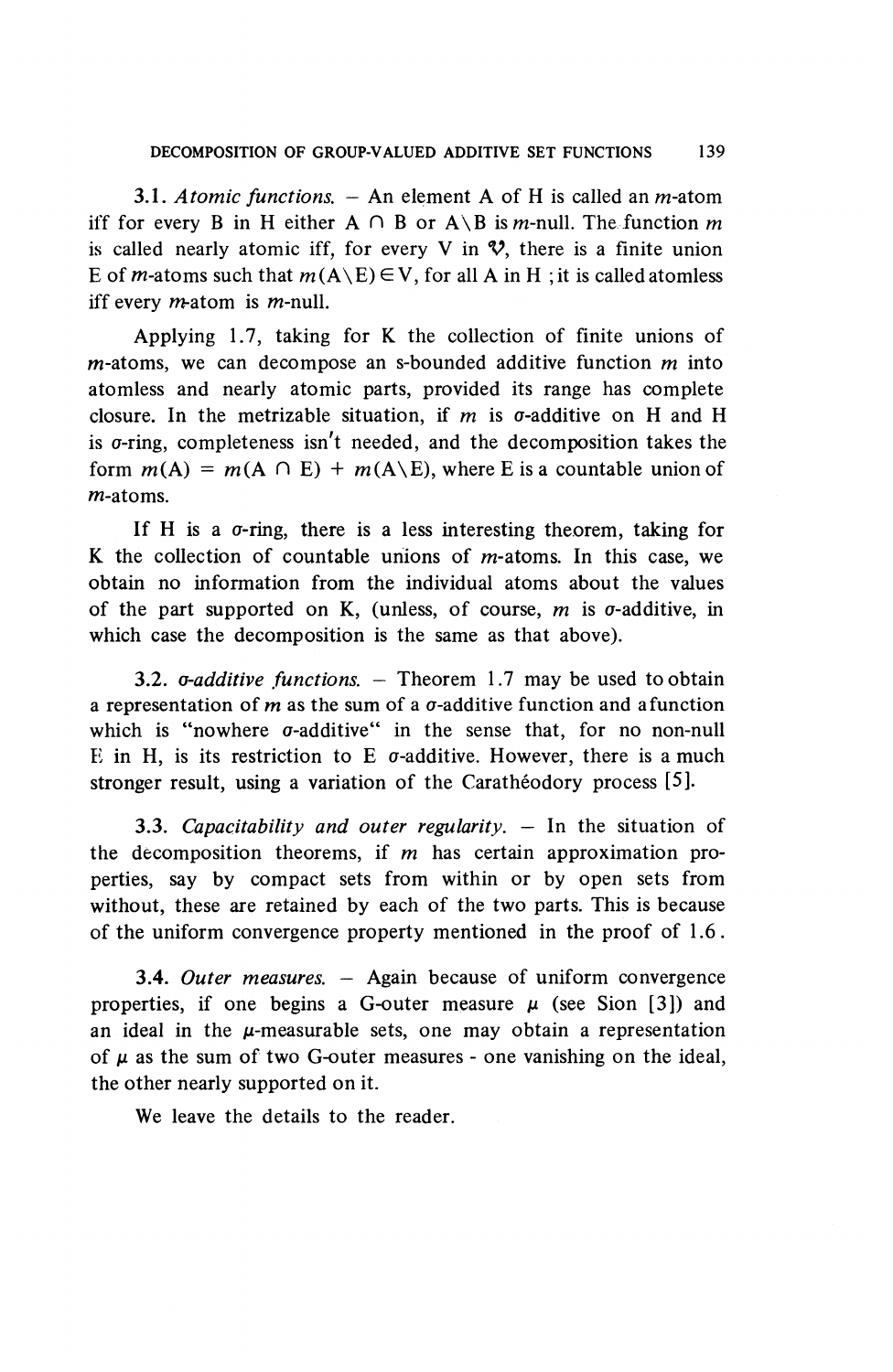3.1. *Atomic functions. —* An element A of H is called an m-atom iff for every B in H either  $A \cap B$  or  $A \setminus B$  is *m*-null. The function *m* is called nearly atomic iff, for every V in  $\mathcal{V}$ , there is a finite union E of *m*-atoms such that  $m(A \setminus E) \in V$ , for all A in H; it is called atomless iff every *m*-atom is *m*-null.

Applying 1.7, taking for K the collection of finite unions of m-atoms, we can decompose an s-bounded additive function m into atomless and nearly atomic parts, provided its range has complete closure. In the metrizable situation, if m is  $\sigma$ -additive on H and H is  $\sigma$ -ring, completeness isn't needed, and the decomposition takes the form  $m(A) = m(A \cap E) + m(A \setminus E)$ , where E is a countable union of m-atoms.

If H is a  $\sigma$ -ring, there is a less interesting theorem, taking for K the collection of countable unions of  $m$ -atoms. In this case, we obtain no information from the individual atoms about the values of the part supported on K, (unless, of course, *m* is a-additive, in which case the decomposition is the same as that above).

3.2. *a-additive functions. —* Theorem 1.7 may be used to obtain a representation of  $m$  as the sum of a  $\sigma$ -additive function and a function which is "nowhere  $\sigma$ -additive" in the sense that, for no non-null E in H, is its restriction to E  $\sigma$ -additive. However, there is a much stronger result, using a variation of the Caratheodory process [5].

3.3. *Capacitability and outer regularity. —* In the situation of the decomposition theorems, if *m* has certain approximation properties, say by compact sets from within or by open sets from without, these are retained by each of the two parts. This is because of the uniform convergence property mentioned in the proof of 1.6.

**3.4.** *Outer measures. —* Again because of uniform convergence properties, if one begins a G-outer measure  $\mu$  (see Sion [3]) and an ideal in the  $\mu$ -measurable sets, one may obtain a representation of  $\mu$  as the sum of two G-outer measures - one vanishing on the ideal, the other nearly supported on it.

We leave the details to the reader.